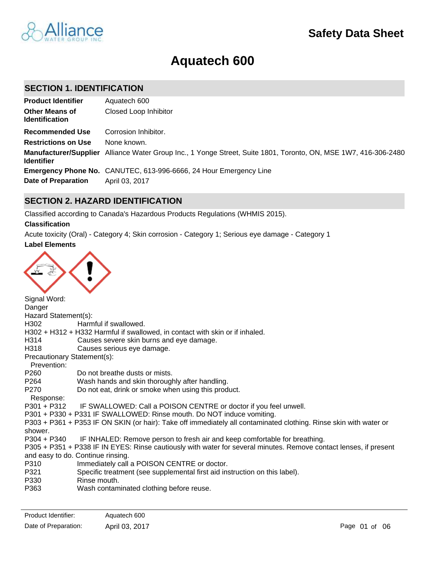

# **Aquatech 600**

## **SECTION 1. IDENTIFICATION**

| <b>Product Identifier</b>                      | Aquatech 600                                                                                                    |
|------------------------------------------------|-----------------------------------------------------------------------------------------------------------------|
| <b>Other Means of</b><br><b>Identification</b> | Closed Loop Inhibitor                                                                                           |
| <b>Recommended Use</b>                         | Corrosion Inhibitor.                                                                                            |
| <b>Restrictions on Use</b>                     | None known.                                                                                                     |
| <b>Identifier</b>                              | Manufacturer/Supplier Alliance Water Group Inc., 1 Yonge Street, Suite 1801, Toronto, ON, MSE 1W7, 416-306-2480 |
|                                                | <b>Emergency Phone No.</b> CANUTEC, 613-996-6666, 24 Hour Emergency Line                                        |
| Date of Preparation                            | April 03, 2017                                                                                                  |

## **SECTION 2. HAZARD IDENTIFICATION**

Classified according to Canada's Hazardous Products Regulations (WHMIS 2015).

#### **Classification**

**Label Elements** Acute toxicity (Oral) - Category 4; Skin corrosion - Category 1; Serious eye damage - Category 1



Signal Word: Danger Hazard Statement(s): H302 Harmful if swallowed. H302 + H312 + H332 Harmful if swallowed, in contact with skin or if inhaled. H314 Causes severe skin burns and eye damage. H318 Causes serious eye damage. Precautionary Statement(s): Prevention: P260 Do not breathe dusts or mists. P264 Wash hands and skin thoroughly after handling. P270 Do not eat, drink or smoke when using this product. Response: P301 + P312 IF SWALLOWED: Call a POISON CENTRE or doctor if you feel unwell. P301 + P330 + P331 IF SWALLOWED: Rinse mouth. Do NOT induce vomiting. P303 + P361 + P353 IF ON SKIN (or hair): Take off immediately all contaminated clothing. Rinse skin with water or shower. P304 + P340 IF INHALED: Remove person to fresh air and keep comfortable for breathing. P305 + P351 + P338 IF IN EYES: Rinse cautiously with water for several minutes. Remove contact lenses, if present and easy to do. Continue rinsing. P310 Immediately call a POISON CENTRE or doctor. P321 Specific treatment (see supplemental first aid instruction on this label). P330 Rinse mouth. P363 Wash contaminated clothing before reuse.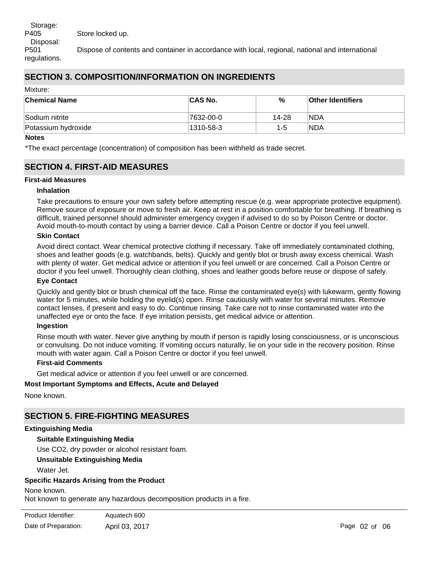Disposal: P501 Dispose of contents and container in accordance with local, regional, national and international regulations.

# **SECTION 3. COMPOSITION/INFORMATION ON INGREDIENTS**

Mixture:

| <b>Chemical Name</b> | <b>CAS No.</b> | %       | Other Identifiers |
|----------------------|----------------|---------|-------------------|
| Sodium nitrite       | 7632-00-0      | 14-28   | 'NDA              |
| Potassium hydroxide  | 1310-58-3      | $1 - 5$ | 'NDA              |

#### **Notes**

\*The exact percentage (concentration) of composition has been withheld as trade secret.

# **SECTION 4. FIRST-AID MEASURES**

#### **First-aid Measures**

#### **Inhalation**

Take precautions to ensure your own safety before attempting rescue (e.g. wear appropriate protective equipment). Remove source of exposure or move to fresh air. Keep at rest in a position comfortable for breathing. If breathing is difficult, trained personnel should administer emergency oxygen if advised to do so by Poison Centre or doctor. Avoid mouth-to-mouth contact by using a barrier device. Call a Poison Centre or doctor if you feel unwell.

#### **Skin Contact**

Avoid direct contact. Wear chemical protective clothing if necessary. Take off immediately contaminated clothing, shoes and leather goods (e.g. watchbands, belts). Quickly and gently blot or brush away excess chemical. Wash with plenty of water. Get medical advice or attention if you feel unwell or are concerned. Call a Poison Centre or doctor if you feel unwell. Thoroughly clean clothing, shoes and leather goods before reuse or dispose of safely.

#### **Eye Contact**

Quickly and gently blot or brush chemical off the face. Rinse the contaminated eye(s) with lukewarm, gently flowing water for 5 minutes, while holding the eyelid(s) open. Rinse cautiously with water for several minutes. Remove contact lenses, if present and easy to do. Continue rinsing. Take care not to rinse contaminated water into the unaffected eye or onto the face. If eye irritation persists, get medical advice or attention.

#### **Ingestion**

Rinse mouth with water. Never give anything by mouth if person is rapidly losing consciousness, or is unconscious or convulsing. Do not induce vomiting. If vomiting occurs naturally, lie on your side in the recovery position. Rinse mouth with water again. Call a Poison Centre or doctor if you feel unwell.

#### **First-aid Comments**

Get medical advice or attention if you feel unwell or are concerned.

#### **Most Important Symptoms and Effects, Acute and Delayed**

None known.

## **SECTION 5. FIRE-FIGHTING MEASURES**

#### **Extinguishing Media**

#### **Suitable Extinguishing Media**

Use CO2, dry powder or alcohol resistant foam.

**Unsuitable Extinguishing Media**

Water Jet.

## **Specific Hazards Arising from the Product**

None known.

Not known to generate any hazardous decomposition products in a fire.

| Product Identifier:  | Aquatech 600   |
|----------------------|----------------|
| Date of Preparation: | April 03, 2017 |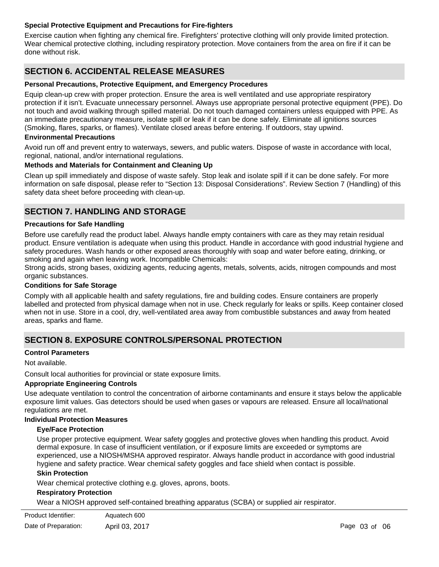#### **Special Protective Equipment and Precautions for Fire-fighters**

Exercise caution when fighting any chemical fire. Firefighters' protective clothing will only provide limited protection. Wear chemical protective clothing, including respiratory protection. Move containers from the area on fire if it can be done without risk.

# **SECTION 6. ACCIDENTAL RELEASE MEASURES**

#### **Personal Precautions, Protective Equipment, and Emergency Procedures**

Equip clean-up crew with proper protection. Ensure the area is well ventilated and use appropriate respiratory protection if it isn't. Evacuate unnecessary personnel. Always use appropriate personal protective equipment (PPE). Do not touch and avoid walking through spilled material. Do not touch damaged containers unless equipped with PPE. As an immediate precautionary measure, isolate spill or leak if it can be done safely. Eliminate all ignitions sources (Smoking, flares, sparks, or flames). Ventilate closed areas before entering. If outdoors, stay upwind.

#### **Environmental Precautions**

Avoid run off and prevent entry to waterways, sewers, and public waters. Dispose of waste in accordance with local, regional, national, and/or international regulations.

#### **Methods and Materials for Containment and Cleaning Up**

Clean up spill immediately and dispose of waste safely. Stop leak and isolate spill if it can be done safely. For more information on safe disposal, please refer to "Section 13: Disposal Considerations". Review Section 7 (Handling) of this safety data sheet before proceeding with clean-up.

# **SECTION 7. HANDLING AND STORAGE**

#### **Precautions for Safe Handling**

Before use carefully read the product label. Always handle empty containers with care as they may retain residual product. Ensure ventilation is adequate when using this product. Handle in accordance with good industrial hygiene and safety procedures. Wash hands or other exposed areas thoroughly with soap and water before eating, drinking, or smoking and again when leaving work. Incompatible Chemicals:

Strong acids, strong bases, oxidizing agents, reducing agents, metals, solvents, acids, nitrogen compounds and most organic substances.

#### **Conditions for Safe Storage**

Comply with all applicable health and safety regulations, fire and building codes. Ensure containers are properly labelled and protected from physical damage when not in use. Check regularly for leaks or spills. Keep container closed when not in use. Store in a cool, dry, well-ventilated area away from combustible substances and away from heated areas, sparks and flame.

# **SECTION 8. EXPOSURE CONTROLS/PERSONAL PROTECTION**

#### **Control Parameters**

Not available.

Consult local authorities for provincial or state exposure limits.

#### **Appropriate Engineering Controls**

Use adequate ventilation to control the concentration of airborne contaminants and ensure it stays below the applicable exposure limit values. Gas detectors should be used when gases or vapours are released. Ensure all local/national regulations are met.

#### **Individual Protection Measures**

#### **Eye/Face Protection**

Use proper protective equipment. Wear safety goggles and protective gloves when handling this product. Avoid dermal exposure. In case of insufficient ventilation, or if exposure limits are exceeded or symptoms are experienced, use a NIOSH/MSHA approved respirator. Always handle product in accordance with good industrial hygiene and safety practice. Wear chemical safety goggles and face shield when contact is possible.

#### **Skin Protection**

Wear chemical protective clothing e.g. gloves, aprons, boots.

Aquatech 600

#### **Respiratory Protection**

Wear a NIOSH approved self-contained breathing apparatus (SCBA) or supplied air respirator.

| Product Identifier: |  |
|---------------------|--|
|---------------------|--|

Date of Preparation: April 03, 2017 **Page 03 of 06** Preparation: April 03, 2017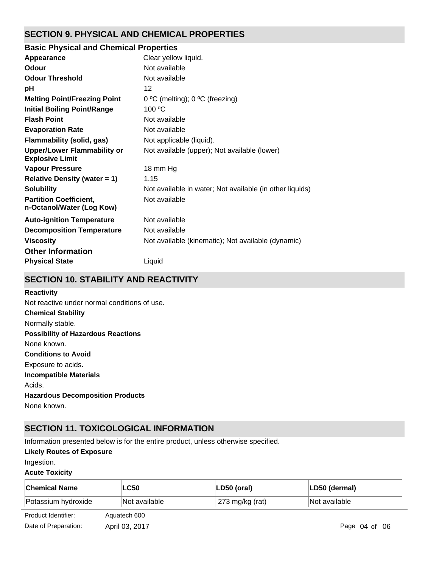# **SECTION 9. PHYSICAL AND CHEMICAL PROPERTIES**

# **Basic Physical and Chemical Properties**

| Appearance                                                   | Clear yellow liquid.                                     |
|--------------------------------------------------------------|----------------------------------------------------------|
| Odour                                                        | Not available                                            |
| <b>Odour Threshold</b>                                       | Not available                                            |
| рH                                                           | 12                                                       |
| <b>Melting Point/Freezing Point</b>                          | 0 °C (melting); 0 °C (freezing)                          |
| <b>Initial Boiling Point/Range</b>                           | 100 °C                                                   |
| <b>Flash Point</b>                                           | Not available                                            |
| <b>Evaporation Rate</b>                                      | Not available                                            |
| Flammability (solid, gas)                                    | Not applicable (liquid).                                 |
| <b>Upper/Lower Flammability or</b><br><b>Explosive Limit</b> | Not available (upper); Not available (lower)             |
| <b>Vapour Pressure</b>                                       | 18 mm Hg                                                 |
| <b>Relative Density (water = 1)</b>                          | 1.15                                                     |
| <b>Solubility</b>                                            | Not available in water; Not available (in other liquids) |
| <b>Partition Coefficient,</b><br>n-Octanol/Water (Log Kow)   | Not available                                            |
| <b>Auto-ignition Temperature</b>                             | Not available                                            |
| <b>Decomposition Temperature</b>                             | Not available                                            |
| <b>Viscosity</b>                                             | Not available (kinematic); Not available (dynamic)       |
| <b>Other Information</b>                                     |                                                          |
| <b>Physical State</b>                                        | Liquid                                                   |

# **SECTION 10. STABILITY AND REACTIVITY**

# **Reactivity**

**Chemical Stability** Normally stable. **Conditions to Avoid** Exposure to acids. **Incompatible Materials** Acids. **Hazardous Decomposition Products** None known. **Possibility of Hazardous Reactions** None known. Not reactive under normal conditions of use.

# **SECTION 11. TOXICOLOGICAL INFORMATION**

Information presented below is for the entire product, unless otherwise specified.

#### **Likely Routes of Exposure**

Ingestion.

#### **Acute Toxicity**

| <b>Chemical Name</b> | <b>LC50</b>    | LD50 (oral)     | LD50 (dermal)     |
|----------------------|----------------|-----------------|-------------------|
| Potassium hydroxide  | Not available  | 273 mg/kg (rat) | Not available     |
| Product Identifier:  | Aquatech 600   |                 |                   |
| Date of Preparation: | April 03, 2017 |                 | Page $04$ of $06$ |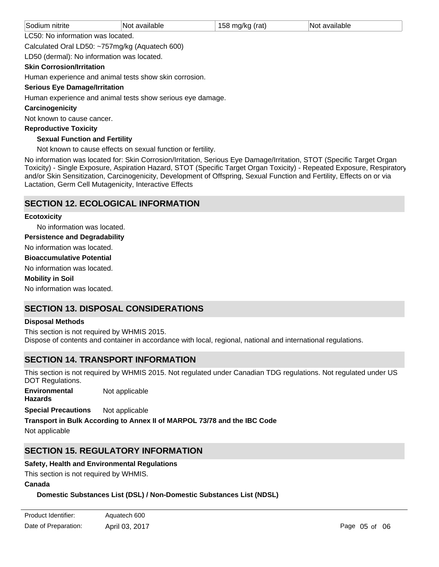| Sodium nitrite                                           | Not available | 158 mg/kg (rat) | Not available |
|----------------------------------------------------------|---------------|-----------------|---------------|
| LC50: No information was located.                        |               |                 |               |
| Calculated Oral LD50: ~757mg/kg (Aquatech 600)<br>.<br>. |               |                 |               |

LD50 (dermal): No information was located.

## **Skin Corrosion/Irritation**

Human experience and animal tests show skin corrosion.

#### **Serious Eye Damage/Irritation**

Human experience and animal tests show serious eye damage.

#### **Carcinogenicity**

Not known to cause cancer.

#### **Reproductive Toxicity**

## **Sexual Function and Fertility**

Not known to cause effects on sexual function or fertility.

No information was located for: Skin Corrosion/Irritation, Serious Eye Damage/Irritation, STOT (Specific Target Organ Toxicity) - Single Exposure, Aspiration Hazard, STOT (Specific Target Organ Toxicity) - Repeated Exposure, Respiratory and/or Skin Sensitization, Carcinogenicity, Development of Offspring, Sexual Function and Fertility, Effects on or via Lactation, Germ Cell Mutagenicity, Interactive Effects

## **SECTION 12. ECOLOGICAL INFORMATION**

#### **Ecotoxicity**

No information was located.

**Persistence and Degradability**

No information was located.

**Bioaccumulative Potential**

No information was located.

#### **Mobility in Soil**

No information was located.

# **SECTION 13. DISPOSAL CONSIDERATIONS**

#### **Disposal Methods**

This section is not required by WHMIS 2015. Dispose of contents and container in accordance with local, regional, national and international regulations.

# **SECTION 14. TRANSPORT INFORMATION**

This section is not required by WHMIS 2015. Not regulated under Canadian TDG regulations. Not regulated under US DOT Regulations.

**Environmental Hazards** Not applicable

**Special Precautions** Not applicable

**Transport in Bulk According to Annex II of MARPOL 73/78 and the IBC Code**

Not applicable

# **SECTION 15. REGULATORY INFORMATION**

## **Safety, Health and Environmental Regulations**

This section is not required by WHMIS.

#### **Canada**

## **Domestic Substances List (DSL) / Non-Domestic Substances List (NDSL)**